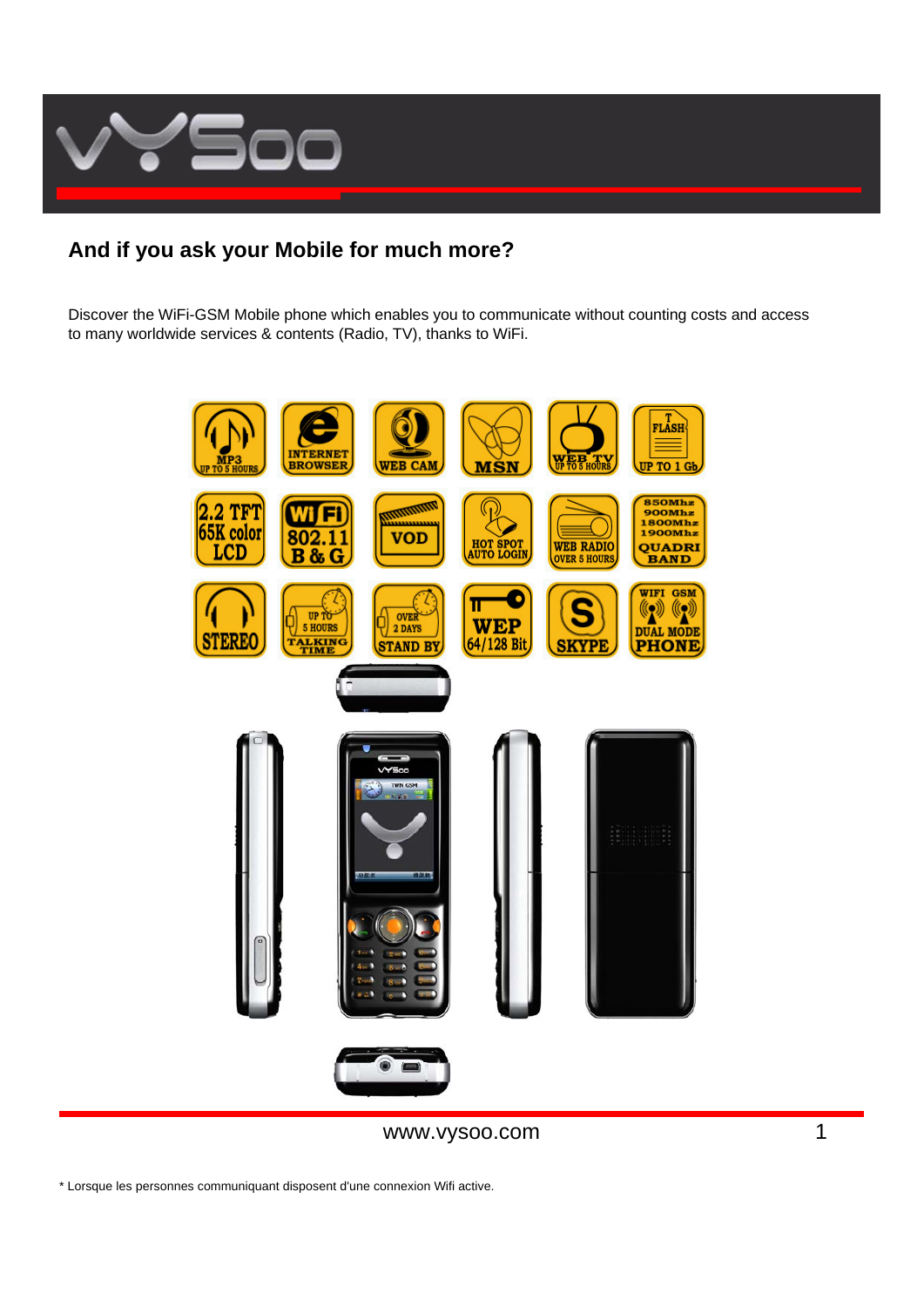

# **And if you ask your Mobile for much more?**

Discover the WiFi-GSM Mobile phone which enables you to communicate without counting costs and access to many worldwide services & contents (Radio, TV), thanks to WiFi.



www.vysoo.com 1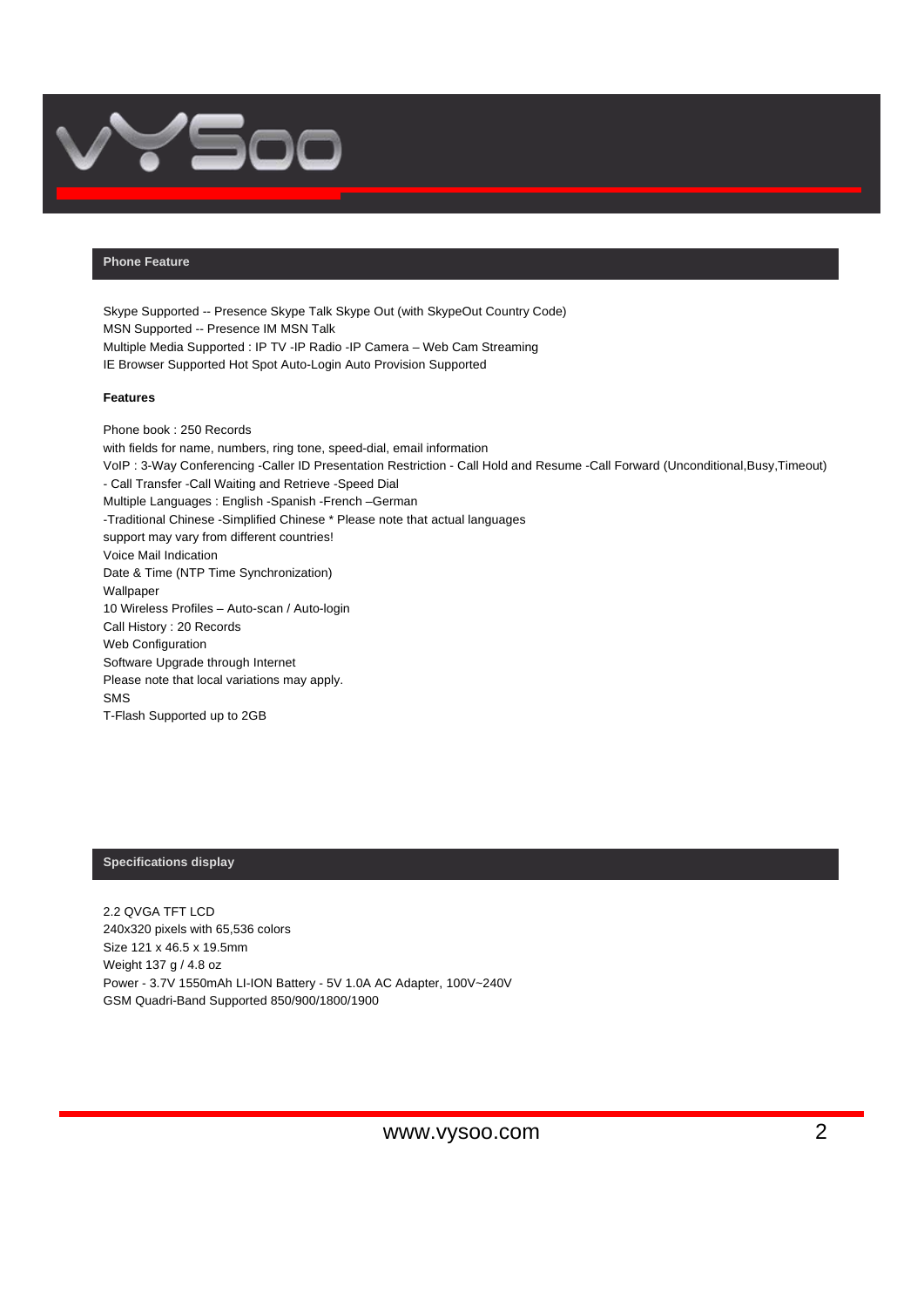

# **Phone Feature**

Skype Supported -- Presence Skype Talk Skype Out (with SkypeOut Country Code) MSN Supported -- Presence IM MSN Talk Multiple Media Supported : IP TV -IP Radio -IP Camera – Web Cam Streaming IE Browser Supported Hot Spot Auto-Login Auto Provision Supported

#### **Features**

Phone book : 250 Records with fields for name, numbers, ring tone, speed-dial, email information VoIP : 3-Way Conferencing -Caller ID Presentation Restriction - Call Hold and Resume -Call Forward (Unconditional,Busy,Timeout) - Call Transfer -Call Waiting and Retrieve -Speed Dial Multiple Languages : English -Spanish -French –German -Traditional Chinese -Simplified Chinese \* Please note that actual languages support may vary from different countries! Voice Mail Indication Date & Time (NTP Time Synchronization) Wallpaper 10 Wireless Profiles – Auto-scan / Auto-login Call History : 20 Records Web Configuration Software Upgrade through Internet Please note that local variations may apply. SMS T-Flash Supported up to 2GB

## **Specifications display**

2.2 QVGA TFT LCD 240x320 pixels with 65,536 colors Size 121 x 46.5 x 19.5mm Weight 137 g / 4.8 oz Power - 3.7V 1550mAh LI-ION Battery - 5V 1.0A AC Adapter, 100V~240V GSM Quadri-Band Supported 850/900/1800/1900